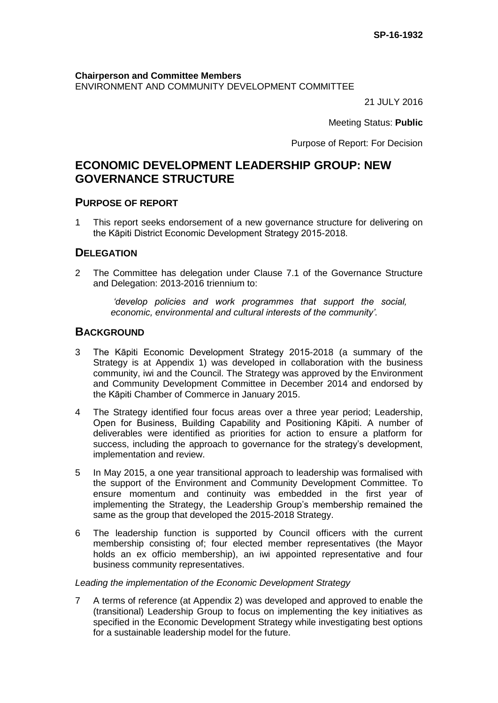**Chairperson and Committee Members** ENVIRONMENT AND COMMUNITY DEVELOPMENT COMMITTEE

21 JULY 2016

Meeting Status: **Public**

Purpose of Report: For Decision

# **ECONOMIC DEVELOPMENT LEADERSHIP GROUP: NEW GOVERNANCE STRUCTURE**

# **PURPOSE OF REPORT**

1 This report seeks endorsement of a new governance structure for delivering on the Kāpiti District Economic Development Strategy 2015-2018.

# **DELEGATION**

2 The Committee has delegation under Clause 7.1 of the Governance Structure and Delegation: 2013-2016 triennium to:

> *'develop policies and work programmes that support the social, economic, environmental and cultural interests of the community'.*

# **BACKGROUND**

- 3 The Kāpiti Economic Development Strategy 2015-2018 (a summary of the Strategy is at Appendix 1) was developed in collaboration with the business community, iwi and the Council. The Strategy was approved by the Environment and Community Development Committee in December 2014 and endorsed by the Kāpiti Chamber of Commerce in January 2015.
- 4 The Strategy identified four focus areas over a three year period; Leadership, Open for Business, Building Capability and Positioning Kāpiti. A number of deliverables were identified as priorities for action to ensure a platform for success, including the approach to governance for the strategy's development, implementation and review.
- 5 In May 2015, a one year transitional approach to leadership was formalised with the support of the Environment and Community Development Committee. To ensure momentum and continuity was embedded in the first year of implementing the Strategy, the Leadership Group's membership remained the same as the group that developed the 2015-2018 Strategy.
- 6 The leadership function is supported by Council officers with the current membership consisting of; four elected member representatives (the Mayor holds an ex officio membership), an iwi appointed representative and four business community representatives.

#### *Leading the implementation of the Economic Development Strategy*

7 A terms of reference (at Appendix 2) was developed and approved to enable the (transitional) Leadership Group to focus on implementing the key initiatives as specified in the Economic Development Strategy while investigating best options for a sustainable leadership model for the future.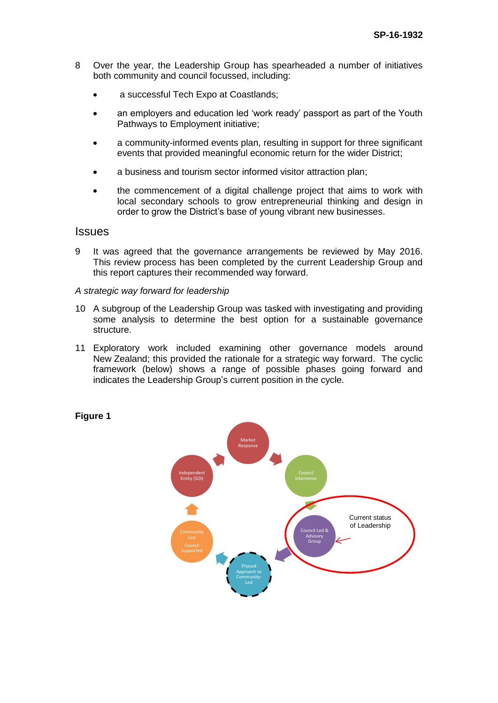- 8 Over the year, the Leadership Group has spearheaded a number of initiatives both community and council focussed, including:
	- a successful Tech Expo at Coastlands;
	- an employers and education led 'work ready' passport as part of the Youth Pathways to Employment initiative;
	- a community-informed events plan, resulting in support for three significant events that provided meaningful economic return for the wider District;
	- a business and tourism sector informed visitor attraction plan;
	- the commencement of a digital challenge project that aims to work with local secondary schools to grow entrepreneurial thinking and design in order to grow the District's base of young vibrant new businesses.

### **Issues**

9 It was agreed that the governance arrangements be reviewed by May 2016. This review process has been completed by the current Leadership Group and this report captures their recommended way forward.

#### *A strategic way forward for leadership*

- 10 A subgroup of the Leadership Group was tasked with investigating and providing some analysis to determine the best option for a sustainable governance structure.
- 11 Exploratory work included examining other governance models around New Zealand; this provided the rationale for a strategic way forward. The cyclic framework (below) shows a range of possible phases going forward and indicates the Leadership Group's current position in the cycle.



#### **Figure 1**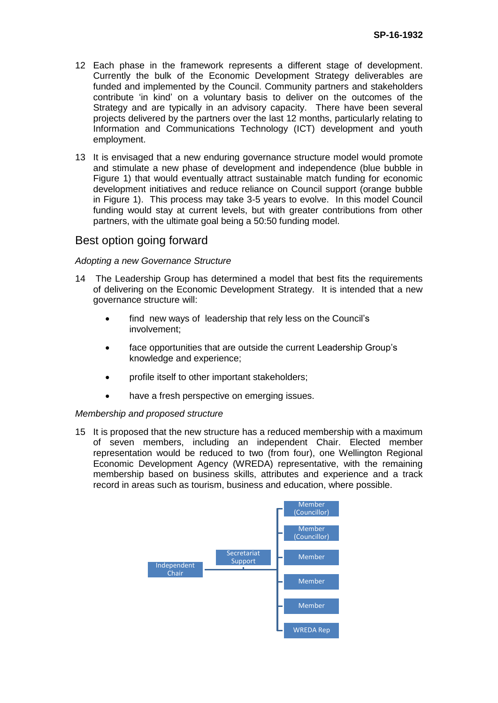- 12 Each phase in the framework represents a different stage of development. Currently the bulk of the Economic Development Strategy deliverables are funded and implemented by the Council. Community partners and stakeholders contribute 'in kind' on a voluntary basis to deliver on the outcomes of the Strategy and are typically in an advisory capacity. There have been several projects delivered by the partners over the last 12 months, particularly relating to Information and Communications Technology (ICT) development and youth employment.
- 13 It is envisaged that a new enduring governance structure model would promote and stimulate a new phase of development and independence (blue bubble in Figure 1) that would eventually attract sustainable match funding for economic development initiatives and reduce reliance on Council support (orange bubble in Figure 1). This process may take 3-5 years to evolve. In this model Council funding would stay at current levels, but with greater contributions from other partners, with the ultimate goal being a 50:50 funding model.

# Best option going forward

#### *Adopting a new Governance Structure*

- 14 The Leadership Group has determined a model that best fits the requirements of delivering on the Economic Development Strategy. It is intended that a new governance structure will:
	- find new ways of leadership that rely less on the Council's involvement;
	- face opportunities that are outside the current Leadership Group's knowledge and experience;
	- profile itself to other important stakeholders;
	- have a fresh perspective on emerging issues.

#### *Membership and proposed structure*

15 It is proposed that the new structure has a reduced membership with a maximum of seven members, including an independent Chair. Elected member representation would be reduced to two (from four), one Wellington Regional Economic Development Agency (WREDA) representative, with the remaining membership based on business skills, attributes and experience and a track record in areas such as tourism, business and education, where possible.

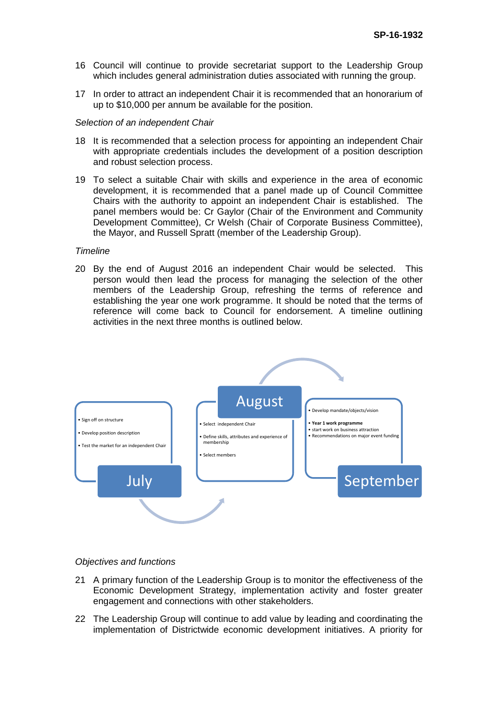- 16 Council will continue to provide secretariat support to the Leadership Group which includes general administration duties associated with running the group.
- 17 In order to attract an independent Chair it is recommended that an honorarium of up to \$10,000 per annum be available for the position.

#### *Selection of an independent Chair*

- 18 It is recommended that a selection process for appointing an independent Chair with appropriate credentials includes the development of a position description and robust selection process.
- 19 To select a suitable Chair with skills and experience in the area of economic development, it is recommended that a panel made up of Council Committee Chairs with the authority to appoint an independent Chair is established. The panel members would be: Cr Gaylor (Chair of the Environment and Community Development Committee), Cr Welsh (Chair of Corporate Business Committee), the Mayor, and Russell Spratt (member of the Leadership Group).

#### *Timeline*

20 By the end of August 2016 an independent Chair would be selected. This person would then lead the process for managing the selection of the other members of the Leadership Group, refreshing the terms of reference and establishing the year one work programme. It should be noted that the terms of reference will come back to Council for endorsement. A timeline outlining activities in the next three months is outlined below.



#### *Objectives and functions*

- 21 A primary function of the Leadership Group is to monitor the effectiveness of the Economic Development Strategy, implementation activity and foster greater engagement and connections with other stakeholders.
- 22 The Leadership Group will continue to add value by leading and coordinating the implementation of Districtwide economic development initiatives. A priority for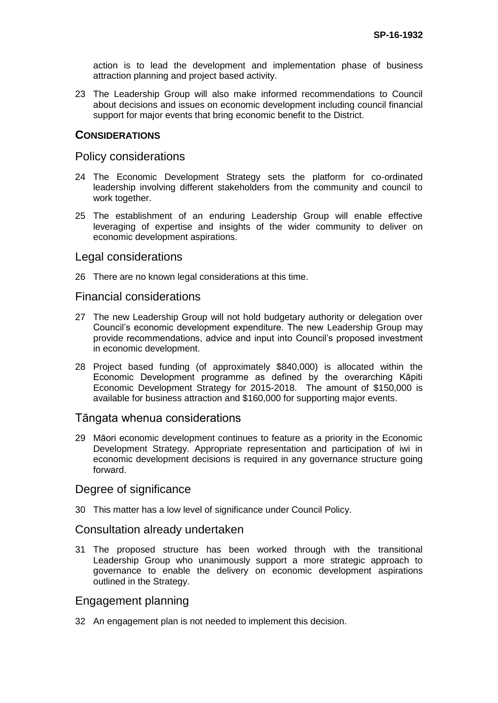action is to lead the development and implementation phase of business attraction planning and project based activity.

23 The Leadership Group will also make informed recommendations to Council about decisions and issues on economic development including council financial support for major events that bring economic benefit to the District.

### **CONSIDERATIONS**

#### Policy considerations

- 24 The Economic Development Strategy sets the platform for co-ordinated leadership involving different stakeholders from the community and council to work together.
- 25 The establishment of an enduring Leadership Group will enable effective leveraging of expertise and insights of the wider community to deliver on economic development aspirations.

#### Legal considerations

26 There are no known legal considerations at this time.

### Financial considerations

- 27 The new Leadership Group will not hold budgetary authority or delegation over Council's economic development expenditure. The new Leadership Group may provide recommendations, advice and input into Council's proposed investment in economic development.
- 28 Project based funding (of approximately \$840,000) is allocated within the Economic Development programme as defined by the overarching Kāpiti Economic Development Strategy for 2015-2018. The amount of \$150,000 is available for business attraction and \$160,000 for supporting major events.

# Tāngata whenua considerations

29 Māori economic development continues to feature as a priority in the Economic Development Strategy. Appropriate representation and participation of iwi in economic development decisions is required in any governance structure going forward.

### Degree of significance

30 This matter has a low level of significance under Council Policy.

### Consultation already undertaken

31 The proposed structure has been worked through with the transitional Leadership Group who unanimously support a more strategic approach to governance to enable the delivery on economic development aspirations outlined in the Strategy.

### Engagement planning

32 An engagement plan is not needed to implement this decision.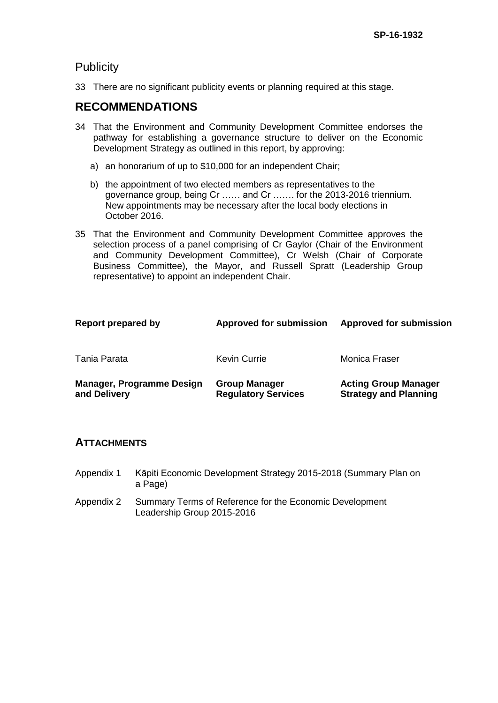# **Publicity**

33 There are no significant publicity events or planning required at this stage.

# **RECOMMENDATIONS**

- 34 That the Environment and Community Development Committee endorses the pathway for establishing a governance structure to deliver on the Economic Development Strategy as outlined in this report, by approving:
	- a) an honorarium of up to \$10,000 for an independent Chair;
	- b) the appointment of two elected members as representatives to the governance group, being Cr …… and Cr ……. for the 2013-2016 triennium. New appointments may be necessary after the local body elections in October 2016.
- 35 That the Environment and Community Development Committee approves the selection process of a panel comprising of Cr Gaylor (Chair of the Environment and Community Development Committee), Cr Welsh (Chair of Corporate Business Committee), the Mayor, and Russell Spratt (Leadership Group representative) to appoint an independent Chair.

| Report prepared by                               | <b>Approved for submission</b>                     | <b>Approved for submission</b>                              |
|--------------------------------------------------|----------------------------------------------------|-------------------------------------------------------------|
| Tania Parata                                     | <b>Kevin Currie</b>                                | Monica Fraser                                               |
| <b>Manager, Programme Design</b><br>and Delivery | <b>Group Manager</b><br><b>Regulatory Services</b> | <b>Acting Group Manager</b><br><b>Strategy and Planning</b> |

# **ATTACHMENTS**

- Appendix 1 Kāpiti Economic Development Strategy 2015-2018 (Summary Plan on a Page)
- Appendix 2 Summary Terms of Reference for the Economic Development Leadership Group 2015-2016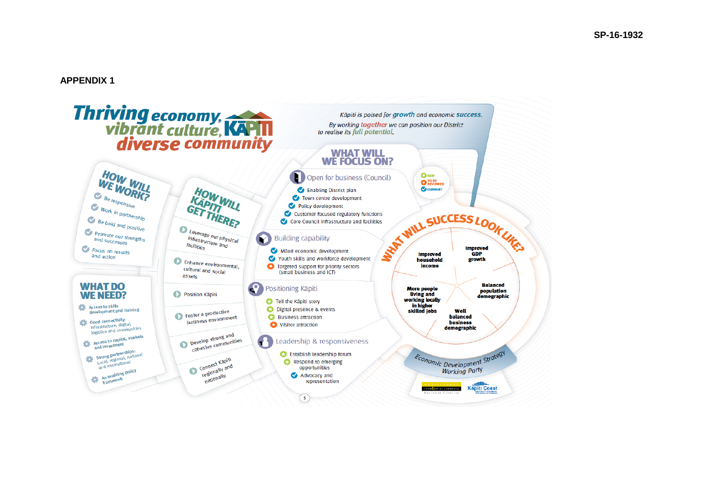#### **APPENDIX 1**

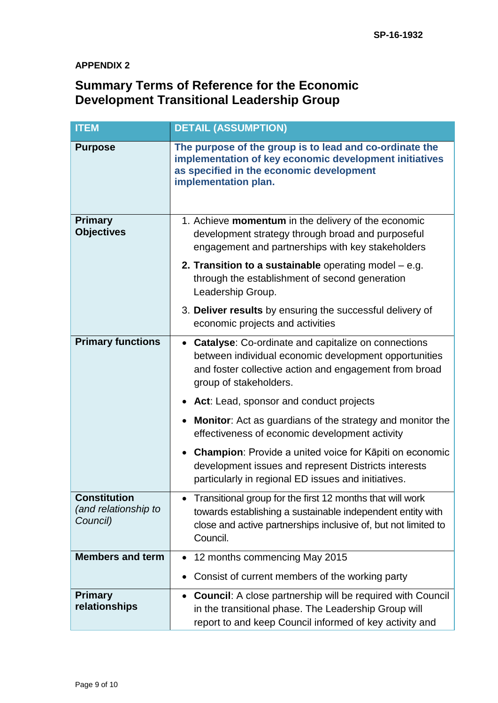# **APPENDIX 2**

# **Summary Terms of Reference for the Economic Development Transitional Leadership Group**

| <b>ITEM</b>                                             | <b>DETAIL (ASSUMPTION)</b>                                                                                                                                                                              |
|---------------------------------------------------------|---------------------------------------------------------------------------------------------------------------------------------------------------------------------------------------------------------|
| <b>Purpose</b>                                          | The purpose of the group is to lead and co-ordinate the<br>implementation of key economic development initiatives<br>as specified in the economic development<br>implementation plan.                   |
| <b>Primary</b><br><b>Objectives</b>                     | 1. Achieve momentum in the delivery of the economic<br>development strategy through broad and purposeful<br>engagement and partnerships with key stakeholders                                           |
|                                                         | 2. Transition to a sustainable operating model $-$ e.g.<br>through the establishment of second generation<br>Leadership Group.                                                                          |
|                                                         | 3. Deliver results by ensuring the successful delivery of<br>economic projects and activities                                                                                                           |
| <b>Primary functions</b>                                | <b>Catalyse:</b> Co-ordinate and capitalize on connections<br>between individual economic development opportunities<br>and foster collective action and engagement from broad<br>group of stakeholders. |
|                                                         | • Act: Lead, sponsor and conduct projects                                                                                                                                                               |
|                                                         | <b>Monitor:</b> Act as guardians of the strategy and monitor the<br>effectiveness of economic development activity                                                                                      |
|                                                         | <b>Champion:</b> Provide a united voice for Kāpiti on economic<br>development issues and represent Districts interests<br>particularly in regional ED issues and initiatives.                           |
| <b>Constitution</b><br>(and relationship to<br>Council) | Transitional group for the first 12 months that will work<br>towards establishing a sustainable independent entity with<br>close and active partnerships inclusive of, but not limited to<br>Council.   |
| <b>Members and term</b>                                 | 12 months commencing May 2015                                                                                                                                                                           |
|                                                         | Consist of current members of the working party<br>$\bullet$                                                                                                                                            |
| <b>Primary</b><br>relationships                         | <b>Council:</b> A close partnership will be required with Council<br>$\bullet$<br>in the transitional phase. The Leadership Group will<br>report to and keep Council informed of key activity and       |